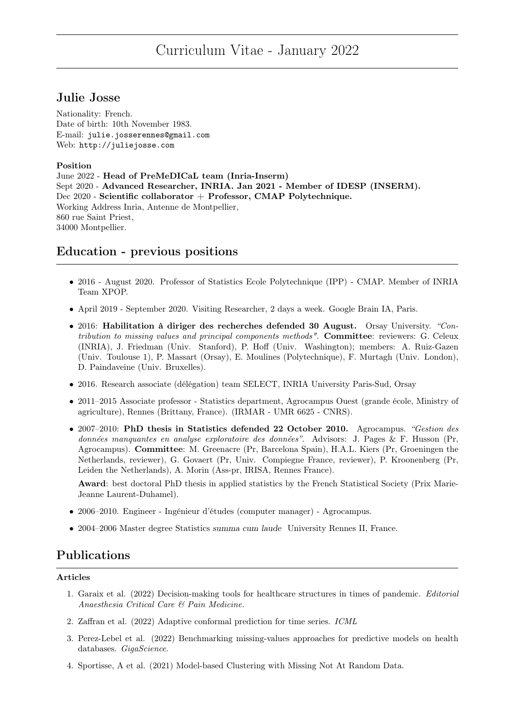# Curriculum Vitae - January 2022

# Julie Josse

Nationality: French. Date of birth: 10th November 1983. E-mail: julie.josserennes@gmail.com Web: http://juliejosse.com

### Position

June 2022 - Head of PreMeDICaL team (Inria-Inserm) Sept 2020 - Advanced Researcher, INRIA. Jan 2021 - Member of IDESP (INSERM). Dec 2020 - Scientific collaborator + Professor, CMAP Polytechnique. Working Address Inria, Antenne de Montpellier, 860 rue Saint Priest, 34000 Montpellier.

# Education - previous positions

- 2016 August 2020. Professor of Statistics Ecole Polytechnique (IPP) CMAP. Member of INRIA Team XPOP.
- April 2019 September 2020. Visiting Researcher, 2 days a week. Google Brain IA, Paris.
- 2016: Habilitation à diriger des recherches defended 30 August. Orsay University. "Contribution to missing values and principal components methods". Committee: reviewers: G. Celeux (INRIA), J. Friedman (Univ. Stanford), P. Hoff (Univ. Washington); members: A. Ruiz-Gazen (Univ. Toulouse 1), P. Massart (Orsay), E. Moulines (Polytechnique), F. Murtagh (Univ. London), D. Paindaveine (Univ. Bruxelles).
- 2016. Research associate (délégation) team SELECT, INRIA University Paris-Sud, Orsay
- 2011–2015 Associate professor Statistics department, Agrocampus Ouest (grande école, Ministry of agriculture), Rennes (Brittany, France). (IRMAR - UMR 6625 - CNRS).
- 2007–2010: PhD thesis in Statistics defended 22 October 2010. Agrocampus. "Gestion des données manquantes en analyse exploratoire des données". Advisors: J. Pages & F. Husson (Pr, Agrocampus). Committee: M. Greenacre (Pr, Barcelona Spain), H.A.L. Kiers (Pr, Groeningen the Netherlands, reviewer), G. Govaert (Pr, Univ. Compiegne France, reviewer), P. Kroonenberg (Pr, Leiden the Netherlands), A. Morin (Ass-pr, IRISA, Rennes France).

Award: best doctoral PhD thesis in applied statistics by the French Statistical Society (Prix Marie-Jeanne Laurent-Duhamel).

- 2006–2010. Engineer Ingénieur d'études (computer manager) Agrocampus.
- 2004–2006 Master degree Statistics summa cum laude University Rennes II, France.

# Publications

### Articles

- 1. Garaix et al. (2022) Decision-making tools for healthcare structures in times of pandemic. Editorial Anaesthesia Critical Care & Pain Medicine.
- 2. Zaffran et al. (2022) Adaptive conformal prediction for time series. ICML
- 3. Perez-Lebel et al. (2022) Benchmarking missing-values approaches for predictive models on health databases. GigaScience.
- 4. Sportisse, A et al. (2021) Model-based Clustering with Missing Not At Random Data.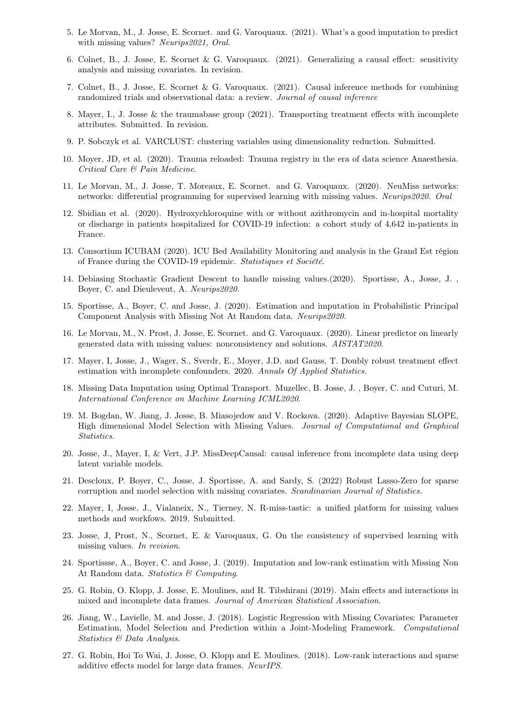- 5. Le Morvan, M., J. Josse, E. Scornet. and G. Varoquaux. (2021). What's a good imputation to predict with missing values? Neurips2021, Oral.
- 6. Colnet, B., J. Josse, E. Scornet & G. Varoquaux. (2021). Generalizing a causal effect: sensitivity analysis and missing covariates. In revision.
- 7. Colnet, B., J. Josse, E. Scornet & G. Varoquaux. (2021). Causal inference methods for combining randomized trials and observational data: a review. Journal of causal inference
- 8. Mayer, I., J. Josse & the traumabase group (2021). Transporting treatment effects with incomplete attributes. Submitted. In revision.
- 9. P. Sobczyk et al. VARCLUST: clustering variables using dimensionality reduction. Submitted.
- 10. Moyer, JD, et al. (2020). Trauma reloaded: Trauma registry in the era of data science Anaesthesia. Critical Care & Pain Medicine.
- 11. Le Morvan, M., J. Josse, T. Moreaux, E. Scornet. and G. Varoquaux. (2020). NeuMiss networks: networks: differential programming for supervised learning with missing values. Neurips2020. Oral
- 12. Sbidian et al. (2020). Hydroxychloroquine with or without azithromycin and in-hospital mortality or discharge in patients hospitalized for COVID-19 infection: a cohort study of 4,642 in-patients in France.
- 13. Consortium ICUBAM (2020). ICU Bed Availability Monitoring and analysis in the Grand Est région of France during the COVID-19 epidemic. Statistiques et Société.
- 14. Debiasing Stochastic Gradient Descent to handle missing values.(2020). Sportisse, A., Josse, J. , Boyer, C. and Dieuleveut, A. Neurips2020.
- 15. Sportisse, A., Boyer, C. and Josse, J. (2020). Estimation and imputation in Probabilistic Principal Component Analysis with Missing Not At Random data. Neurips2020.
- 16. Le Morvan, M., N. Prost, J. Josse, E. Scornet. and G. Varoquaux. (2020). Linear predictor on linearly generated data with missing values: nonconsistency and solutions. AISTAT2020.
- 17. Mayer, I, Josse, J., Wager, S., Sverdr, E., Moyer, J.D. and Gauss, T. Doubly robust treatment effect estimation with incomplete confounders. 2020. Annals Of Applied Statistics.
- 18. Missing Data Imputation using Optimal Transport. Muzellec, B. Josse, J. , Boyer, C. and Cuturi, M. International Conference on Machine Learning ICML2020.
- 19. M. Bogdan, W. Jiang, J. Josse, B. Miasojedow and V. Rockova. (2020). Adaptive Bayesian SLOPE, High dimensional Model Selection with Missing Values. Journal of Computational and Graphical Statistics.
- 20. Josse, J., Mayer, I, & Vert, J.P. MissDeepCausal: causal inference from incomplete data using deep latent variable models.
- 21. Descloux, P. Boyer, C., Josse, J. Sportisse, A. and Sardy, S. (2022) Robust Lasso-Zero for sparse corruption and model selection with missing covariates. Scandinavian Journal of Statistics.
- 22. Mayer, I, Josse, J., Vialaneix, N., Tierney, N. R-miss-tastic: a unified platform for missing values methods and workfows. 2019. Submitted.
- 23. Josse, J, Prost, N., Scornet, E. & Varoquaux, G. On the consistency of supervised learning with missing values. In revision.
- 24. Sportissse, A., Boyer, C. and Josse, J. (2019). Imputation and low-rank estimation with Missing Non At Random data. Statistics & Computing.
- 25. G. Robin, O. Klopp, J. Josse, E. Moulines, and R. Tibshirani (2019). Main effects and interactions in mixed and incomplete data frames. Journal of American Statistical Association.
- 26. Jiang, W., Lavielle, M. and Josse, J. (2018). Logistic Regression with Missing Covariates: Parameter Estimation, Model Selection and Prediction within a Joint-Modeling Framework. Computational Statistics & Data Analysis.
- 27. G. Robin, Hoi To Wai, J. Josse, O. Klopp and E. Moulines. (2018). Low-rank interactions and sparse additive effects model for large data frames. NeurIPS.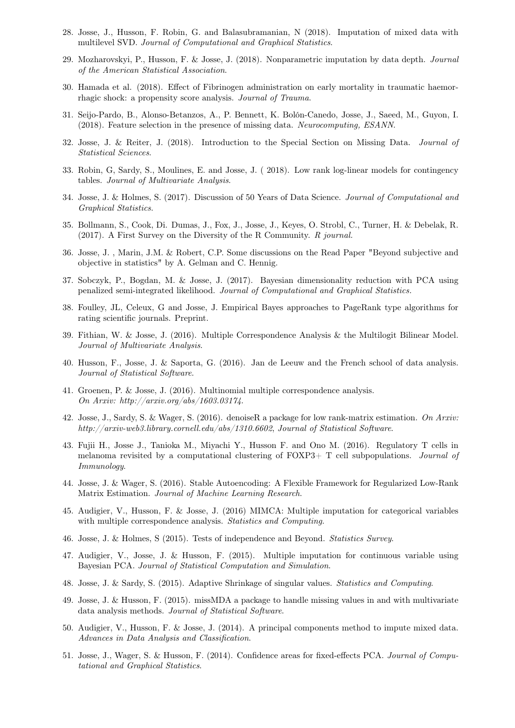- 28. Josse, J., Husson, F. Robin, G. and Balasubramanian, N (2018). Imputation of mixed data with multilevel SVD. Journal of Computational and Graphical Statistics.
- 29. Mozharovskyi, P., Husson, F. & Josse, J. (2018). Nonparametric imputation by data depth. Journal of the American Statistical Association.
- 30. Hamada et al. (2018). Effect of Fibrinogen administration on early mortality in traumatic haemorrhagic shock: a propensity score analysis. Journal of Trauma.
- 31. Seijo-Pardo, B., Alonso-Betanzos, A., P. Bennett, K. Bolón-Canedo, Josse, J., Saeed, M., Guyon, I. (2018). Feature selection in the presence of missing data. Neurocomputing, ESANN.
- 32. Josse, J. & Reiter, J. (2018). Introduction to the Special Section on Missing Data. Journal of Statistical Sciences.
- 33. Robin, G, Sardy, S., Moulines, E. and Josse, J. ( 2018). Low rank log-linear models for contingency tables. Journal of Multivariate Analysis.
- 34. Josse, J. & Holmes, S. (2017). Discussion of 50 Years of Data Science. Journal of Computational and Graphical Statistics.
- 35. Bollmann, S., Cook, Di. Dumas, J., Fox, J., Josse, J., Keyes, O. Strobl, C., Turner, H. & Debelak, R. (2017). A First Survey on the Diversity of the R Community. R journal.
- 36. Josse, J. , Marin, J.M. & Robert, C.P. Some discussions on the Read Paper "Beyond subjective and objective in statistics" by A. Gelman and C. Hennig.
- 37. Sobczyk, P., Bogdan, M. & Josse, J. (2017). Bayesian dimensionality reduction with PCA using penalized semi-integrated likelihood. Journal of Computational and Graphical Statistics.
- 38. Foulley, JL, Celeux, G and Josse, J. Empirical Bayes approaches to PageRank type algorithms for rating scientific journals. Preprint.
- 39. Fithian, W. & Josse, J. (2016). Multiple Correspondence Analysis & the Multilogit Bilinear Model. Journal of Multivariate Analysis.
- 40. Husson, F., Josse, J. & Saporta, G. (2016). Jan de Leeuw and the French school of data analysis. Journal of Statistical Software.
- 41. Groenen, P. & Josse, J. (2016). Multinomial multiple correspondence analysis. On Arxiv: http://arxiv.org/abs/1603.03174.
- 42. Josse, J., Sardy, S. & Wager, S. (2016). denoiseR a package for low rank-matrix estimation. On Arxiv: http://arxiv-web3.library.cornell.edu/abs/1310.6602, Journal of Statistical Software.
- 43. Fujii H., Josse J., Tanioka M., Miyachi Y., Husson F. and Ono M. (2016). Regulatory T cells in melanoma revisited by a computational clustering of  $FOXP3+T$  cell subpopulations. *Journal of* Immunology.
- 44. Josse, J. & Wager, S. (2016). Stable Autoencoding: A Flexible Framework for Regularized Low-Rank Matrix Estimation. Journal of Machine Learning Research.
- 45. Audigier, V., Husson, F. & Josse, J. (2016) MIMCA: Multiple imputation for categorical variables with multiple correspondence analysis. *Statistics and Computing*.
- 46. Josse, J. & Holmes, S (2015). Tests of independence and Beyond. Statistics Survey.
- 47. Audigier, V., Josse, J. & Husson, F. (2015). Multiple imputation for continuous variable using Bayesian PCA. Journal of Statistical Computation and Simulation.
- 48. Josse, J. & Sardy, S. (2015). Adaptive Shrinkage of singular values. Statistics and Computing.
- 49. Josse, J. & Husson, F. (2015). missMDA a package to handle missing values in and with multivariate data analysis methods. Journal of Statistical Software.
- 50. Audigier, V., Husson, F. & Josse, J. (2014). A principal components method to impute mixed data. Advances in Data Analysis and Classification.
- 51. Josse, J., Wager, S. & Husson, F. (2014). Confidence areas for fixed-effects PCA. Journal of Computational and Graphical Statistics.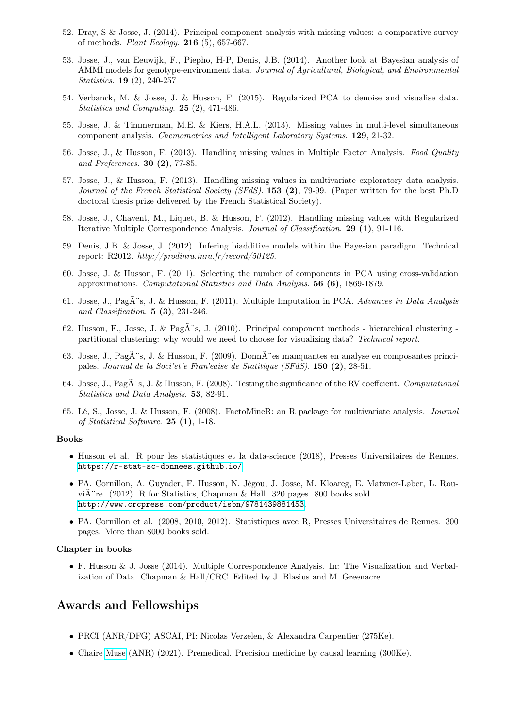- 52. Dray, S & Josse, J. (2014). Principal component analysis with missing values: a comparative survey of methods. Plant Ecology. 216 (5), 657-667.
- 53. Josse, J., van Eeuwijk, F., Piepho, H-P, Denis, J.B. (2014). Another look at Bayesian analysis of AMMI models for genotype-environment data. Journal of Agricultural, Biological, and Environmental Statistics. 19 (2), 240-257
- 54. Verbanck, M. & Josse, J. & Husson, F. (2015). Regularized PCA to denoise and visualise data. Statistics and Computing. 25 (2), 471-486.
- 55. Josse, J. & Timmerman, M.E. & Kiers, H.A.L. (2013). Missing values in multi-level simultaneous component analysis. Chemometrics and Intelligent Laboratory Systems. 129, 21-32.
- 56. Josse, J., & Husson, F. (2013). Handling missing values in Multiple Factor Analysis. Food Quality and Preferences. 30 (2), 77-85.
- 57. Josse, J., & Husson, F. (2013). Handling missing values in multivariate exploratory data analysis. Journal of the French Statistical Society (SFdS). **153 (2)**, 79-99. (Paper written for the best Ph.D doctoral thesis prize delivered by the French Statistical Society).
- 58. Josse, J., Chavent, M., Liquet, B. & Husson, F. (2012). Handling missing values with Regularized Iterative Multiple Correspondence Analysis. Journal of Classification. 29 (1), 91-116.
- 59. Denis, J.B. & Josse, J. (2012). Infering biadditive models within the Bayesian paradigm. Technical report: R2012. http://prodinra.inra.fr/record/50125.
- 60. Josse, J. & Husson, F. (2011). Selecting the number of components in PCA using cross-validation approximations. Computational Statistics and Data Analysis. 56 (6), 1869-1879.
- 61. Josse, J., Pag $\tilde{A}$ "s, J. & Husson, F. (2011). Multiple Imputation in PCA. Advances in Data Analysis and Classification. 5 (3), 231-246.
- 62. Husson, F., Josse, J. & Pag $\tilde{A}$ 's, J. (2010). Principal component methods hierarchical clustering partitional clustering: why would we need to choose for visualizing data? Technical report.
- 63. Josse, J., Pag $\tilde{A}$ 's, J. & Husson, F. (2009). Donn $\tilde{A}$ 'es manquantes en analyse en composantes principales. Journal de la Soci'et'e Fran'eaise de Statitique (SFdS). 150 (2), 28-51.
- 64. Josse, J., Pag $\tilde{A}$ 's, J. & Husson, F. (2008). Testing the significance of the RV coeffcient. Computational Statistics and Data Analysis. 53, 82-91.
- 65. Lé, S., Josse, J. & Husson, F. (2008). FactoMineR: an R package for multivariate analysis. Journal of Statistical Software. 25 (1), 1-18.

#### Books

- Husson et al. R pour les statistiques et la data-science (2018), Presses Universitaires de Rennes. <https://r-stat-sc-donnees.github.io/>
- PA. Cornillon, A. Guyader, F. Husson, N. Jégou, J. Josse, M. Kloareg, E. Matzner-Løber, L. Rouvi $\hat{A}$  re. (2012). R for Statistics, Chapman & Hall. 320 pages. 800 books sold. <http://www.crcpress.com/product/isbn/9781439881453>.
- PA. Cornillon et al. (2008, 2010, 2012). Statistiques avec R, Presses Universitaires de Rennes. 300 pages. More than 8000 books sold.

#### Chapter in books

• F. Husson & J. Josse (2014). Multiple Correspondence Analysis. In: The Visualization and Verbalization of Data. Chapman & Hall/CRC. Edited by J. Blasius and M. Greenacre.

# Awards and Fellowships

- PRCI (ANR/DFG) ASCAI, PI: Nicolas Verzelen, & Alexandra Carpentier (275Ke).
- Chaire [Muse](https://muse.edu.umontpellier.fr/) (ANR) (2021). Premedical. Precision medicine by causal learning (300Ke).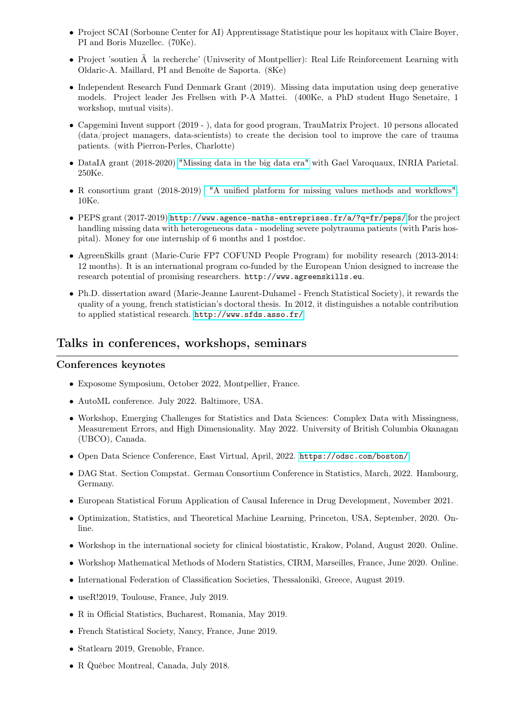- Project SCAI (Sorbonne Center for AI) Apprentissage Statistique pour les hopitaux with Claire Boyer, PI and Boris Muzellec. (70Ke).
- Project 'soutien à la recherche' (Univserity of Montpellier): Real Life Reinforcement Learning with Oldaric-A. Maillard, PI and Benoîte de Saporta. (8Ke)
- Independent Research Fund Denmark Grant (2019). Missing data imputation using deep generative models. Project leader Jes Frellsen with P-A Mattei. (400Ke, a PhD student Hugo Senetaire, 1 workshop, mutual visits).
- Capgemini Invent support (2019 ), data for good program, TrauMatrix Project. 10 persons allocated (data/project managers, data-scientists) to create the decision tool to improve the care of trauma patients. (with Pierron-Perles, Charlotte)
- DataIA grant (2018-2020) ["Missing data in the big data era"](http://dataia.eu/actualites/linstitut-dataia-vous-presente-le-projet-missingbigdata) with Gael Varoquaux, INRIA Parietal. 250Ke.
- R consortium grant (2018-2019) ["A unified platform for missing values methods and workflows".](https://www.r-consortium.org/projects/awarded-projects) 10Ke.
- PEPS grant (2017-2019) <http://www.agence-maths-entreprises.fr/a/?q=fr/peps/> for the project handling missing data with heterogeneous data - modeling severe polytrauma patients (with Paris hospital). Money for one internship of 6 months and 1 postdoc.
- AgreenSkills grant (Marie-Curie FP7 COFUND People Program) for mobility research (2013-2014: 12 months). It is an international program co-funded by the European Union designed to increase the research potential of promising researchers. http://www.agreenskills.eu.
- Ph.D. dissertation award (Marie-Jeanne Laurent-Duhamel French Statistical Society), it rewards the quality of a young, french statistician's doctoral thesis. In 2012, it distinguishes a notable contribution to applied statistical research. <http://www.sfds.asso.fr/>

## Talks in conferences, workshops, seminars

### Conferences keynotes

- Exposome Symposium, October 2022, Montpellier, France.
- AutoML conference. July 2022. Baltimore, USA.
- Workshop, Emerging Challenges for Statistics and Data Sciences: Complex Data with Missingness, Measurement Errors, and High Dimensionality. May 2022. University of British Columbia Okanagan (UBCO), Canada.
- Open Data Science Conference, East Virtual, April, 2022. <https://odsc.com/boston/>
- DAG Stat. Section Compstat. German Consortium Conference in Statistics, March, 2022. Hambourg, Germany.
- European Statistical Forum Application of Causal Inference in Drug Development, November 2021.
- Optimization, Statistics, and Theoretical Machine Learning, Princeton, USA, September, 2020. Online.
- Workshop in the international society for clinical biostatistic, Krakow, Poland, August 2020. Online.
- Workshop Mathematical Methods of Modern Statistics, CIRM, Marseilles, France, June 2020. Online.
- International Federation of Classification Societies, Thessaloniki, Greece, August 2019.
- useR!2019, Toulouse, France, July 2019.
- R in Official Statistics, Bucharest, Romania, May 2019.
- French Statistical Society, Nancy, France, June 2019.
- Statlearn 2019, Grenoble, France.
- R Québec Montreal, Canada, July 2018. `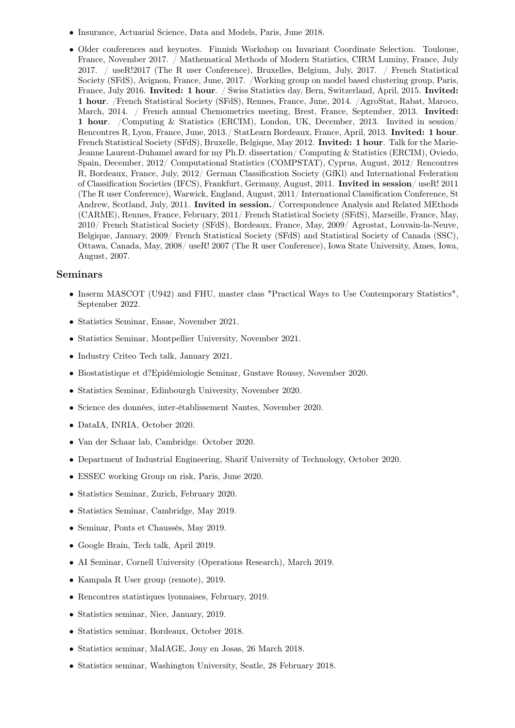- Insurance, Actuarial Science, Data and Models, Paris, June 2018.
- Older conferences and keynotes. Finnish Workshop on Invariant Coordinate Selection. Toulouse, France, November 2017. / Mathematical Methods of Modern Statistics, CIRM Luminy, France, July 2017. / useR!2017 (The R user Conference), Bruxelles, Belgium, July, 2017. / French Statistical Society (SFdS), Avignon, France, June, 2017. /Working group on model based clustering group, Paris, France, July 2016. Invited: 1 hour. / Swiss Statistics day, Bern, Switzerland, April, 2015. Invited: 1 hour. /French Statistical Society (SFdS), Rennes, France, June, 2014. /AgroStat, Rabat, Maroco, March, 2014. / French annual Chemometrics meeting, Brest, France, September, 2013. Invited: 1 hour. /Computing & Statistics (ERCIM), London, UK, December, 2013. Invited in session/ Rencontres R, Lyon, France, June, 2013./ StatLearn Bordeaux, France, April, 2013. Invited: 1 hour. French Statistical Society (SFdS), Bruxelle, Belgique, May 2012. Invited: 1 hour. Talk for the Marie-Jeanne Laurent-Duhamel award for my Ph.D. dissertation/ Computing & Statistics (ERCIM), Oviedo, Spain, December, 2012/ Computational Statistics (COMPSTAT), Cyprus, August, 2012/ Rencontres R, Bordeaux, France, July, 2012/ German Classification Society (GfKl) and International Federation of Classification Societies (IFCS), Frankfurt, Germany, August, 2011. Invited in session/ useR! 2011 (The R user Conference), Warwick, England, August, 2011/ International Classification Conference, St Andrew, Scotland, July, 2011. Invited in session./ Correspondence Analysis and Related MEthods (CARME), Rennes, France, February, 2011/ French Statistical Society (SFdS), Marseille, France, May, 2010/ French Statistical Society (SFdS), Bordeaux, France, May, 2009/ Agrostat, Louvain-la-Neuve, Belgique, January, 2009/ French Statistical Society (SFdS) and Statistical Society of Canada (SSC), Ottawa, Canada, May, 2008/ useR! 2007 (The R user Conference), Iowa State University, Ames, Iowa, August, 2007.

#### Seminars

- Inserm MASCOT (U942) and FHU, master class "Practical Ways to Use Contemporary Statistics", September 2022.
- Statistics Seminar, Ensae, November 2021.
- Statistics Seminar, Montpellier University, November 2021.
- Industry Criteo Tech talk, January 2021.
- Biostatistique et d?Epidémiologie Seminar, Gustave Roussy, November 2020.
- Statistics Seminar, Edinbourgh University, November 2020.
- Science des données, inter-établissement Nantes, November 2020.
- DataIA, INRIA, October 2020.
- Van der Schaar lab, Cambridge. October 2020.
- Department of Industrial Engineering, Sharif University of Technology, October 2020.
- ESSEC working Group on risk, Paris, June 2020.
- Statistics Seminar, Zurich, February 2020.
- Statistics Seminar, Cambridge, May 2019.
- Seminar, Ponts et Chaussés, May 2019.
- Google Brain, Tech talk, April 2019.
- AI Seminar, Cornell University (Operations Research), March 2019.
- Kampala R User group (remote), 2019.
- Rencontres statistiques lyonnaises, February, 2019.
- Statistics seminar, Nice, January, 2019.
- Statistics seminar, Bordeaux, October 2018.
- Statistics seminar, MaIAGE, Jouy en Josas, 26 March 2018.
- Statistics seminar, Washington University, Seatle, 28 February 2018.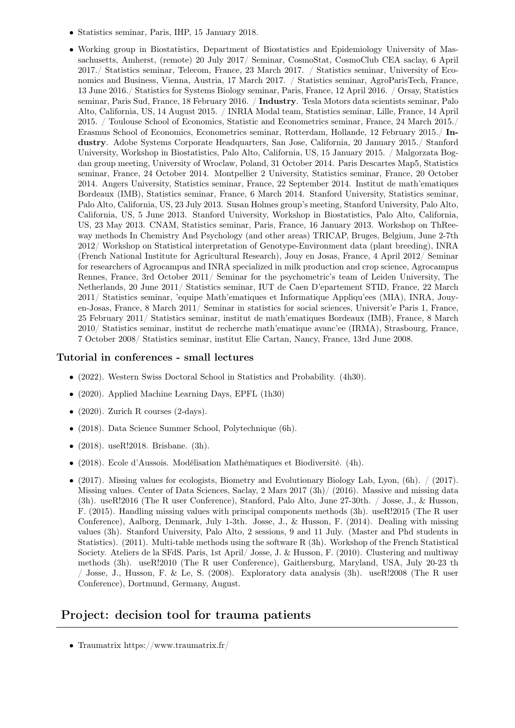- Statistics seminar, Paris, IHP, 15 January 2018.
- Working group in Biostatistics, Department of Biostatistics and Epidemiology University of Massachusetts, Amherst, (remote) 20 July 2017/ Seminar, CosmoStat, CosmoClub CEA saclay, 6 April 2017./ Statistics seminar, Telecom, France, 23 March 2017. / Statistics seminar, University of Economics and Business, Vienna, Austria, 17 March 2017. / Statistics seminar, AgroParisTech, France, 13 June 2016./ Statistics for Systems Biology seminar, Paris, France, 12 April 2016. / Orsay, Statistics seminar, Paris Sud, France, 18 February 2016. / Industry. Tesla Motors data scientists seminar, Palo Alto, California, US, 14 August 2015. / INRIA Modal team, Statistics seminar, Lille, France, 14 April 2015. / Toulouse School of Economics, Statistic and Econometrics seminar, France, 24 March 2015./ Erasmus School of Economics, Econometrics seminar, Rotterdam, Hollande, 12 February 2015./ Industry. Adobe Systems Corporate Headquarters, San Jose, California, 20 January 2015./ Stanford University, Workshop in Biostatistics, Palo Alto, California, US, 15 January 2015. / Malgorzata Bogdan group meeting, University of Wroclaw, Poland, 31 October 2014. Paris Descartes Map5, Statistics seminar, France, 24 October 2014. Montpellier 2 University, Statistics seminar, France, 20 October 2014. Angers University, Statistics seminar, France, 22 September 2014. Institut de math'ematiques Bordeaux (IMB), Statistics seminar, France, 6 March 2014. Stanford University, Statistics seminar, Palo Alto, California, US, 23 July 2013. Susan Holmes group's meeting, Stanford University, Palo Alto, California, US, 5 June 2013. Stanford University, Workshop in Biostatistics, Palo Alto, California, US, 23 May 2013. CNAM, Statistics seminar, Paris, France, 16 January 2013. Workshop on ThReeway methods In Chemistry And Psychology (and other areas) TRICAP, Bruges, Belgium, June 2-7th 2012/ Workshop on Statistical interpretation of Genotype-Environment data (plant breeding), INRA (French National Institute for Agricultural Research), Jouy en Josas, France, 4 April 2012/ Seminar for researchers of Agrocampus and INRA specialized in milk production and crop science, Agrocampus Rennes, France, 3rd October 2011/ Seminar for the psychometric's team of Leiden University, The Netherlands, 20 June 2011/ Statistics seminar, IUT de Caen D'epartement STID, France, 22 March 2011/ Statistics seminar, 'equipe Math'ematiques et Informatique Appliqu'ees (MIA), INRA, Jouyen-Josas, France, 8 March 2011/ Seminar in statistics for social sciences, Universit'e Paris 1, France, 25 February 2011/ Statistics seminar, institut de math'ematiques Bordeaux (IMB), France, 8 March 2010/ Statistics seminar, institut de recherche math'ematique avanc'ee (IRMA), Strasbourg, France, 7 October 2008/ Statistics seminar, institut Elie Cartan, Nancy, France, 13rd June 2008.

### Tutorial in conferences - small lectures

- (2022). Western Swiss Doctoral School in Statistics and Probability. (4h30).
- (2020). Applied Machine Learning Days, EPFL (1h30)
- $(2020)$ . Zurich R courses  $(2-\text{days})$ .
- (2018). Data Science Summer School, Polytechnique (6h).
- (2018). useR!2018. Brisbane. (3h).
- (2018). Ecole d'Aussois. Modélisation Mathématiques et Biodiversité. (4h).
- (2017). Missing values for ecologists, Biometry and Evolutionary Biology Lab, Lyon,  $(6h)$ .  $\frac{\binom{2017}{2017}}{2017}$ . Missing values. Center of Data Sciences, Saclay, 2 Mars 2017 (3h)/ (2016). Massive and missing data (3h). useR!2016 (The R user Conference), Stanford, Palo Alto, June 27-30th. / Josse, J., & Husson, F. (2015). Handling missing values with principal components methods (3h). useR!2015 (The R user Conference), Aalborg, Denmark, July 1-3th. Josse, J., & Husson, F. (2014). Dealing with missing values (3h). Stanford University, Palo Alto, 2 sessions, 9 and 11 July. (Master and Phd students in Statistics). (2011). Multi-table methods using the software R (3h). Workshop of the French Statistical Society. Ateliers de la SFdS. Paris, 1st April/ Josse, J. & Husson, F. (2010). Clustering and multiway methods (3h). useR!2010 (The R user Conference), Gaithersburg, Maryland, USA, July 20-23 th / Josse, J., Husson, F. & Le, S. (2008). Exploratory data analysis (3h). useR!2008 (The R user Conference), Dortmund, Germany, August.

## Project: decision tool for trauma patients

• Traumatrix https://www.traumatrix.fr/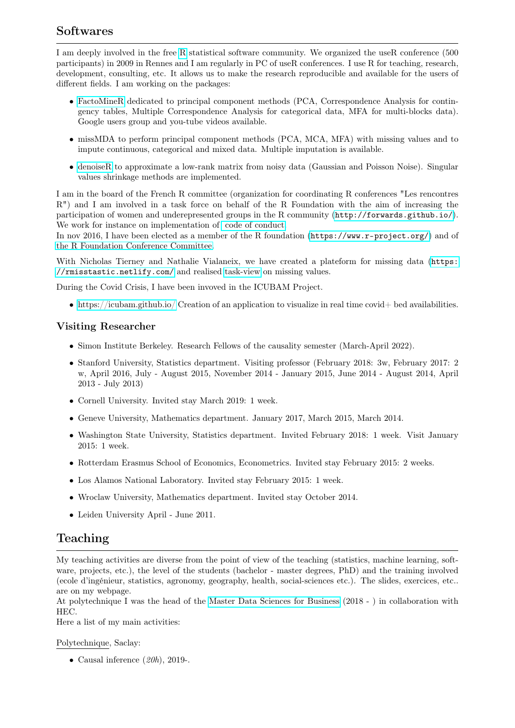# Softwares

I am deeply involved in the free [R](http://cran.r-project.org/) statistical software community. We organized the useR conference (500 participants) in 2009 in Rennes and I am regularly in PC of useR conferences. I use R for teaching, research, development, consulting, etc. It allows us to make the research reproducible and available for the users of different fields. I am working on the packages:

- [FactoMineR](http://factominer.free.fr) dedicated to principal component methods (PCA, Correspondence Analysis for contingency tables, Multiple Correspondence Analysis for categorical data, MFA for multi-blocks data). Google users group and you-tube videos available.
- missMDA to perform principal component methods (PCA, MCA, MFA) with missing values and to impute continuous, categorical and mixed data. Multiple imputation is available.
- [denoiseR](https://cran.r-project.org/web/packages/denoiseR/index.html) to approximate a low-rank matrix from noisy data (Gaussian and Poisson Noise). Singular values shrinkage methods are implemented.

I am in the board of the French R committee (organization for coordinating R conferences "Les rencontres R") and I am involved in a task force on behalf of the R Foundation with the aim of increasing the participation of women and underepresented groups in the R community (<http://forwards.github.io/>). We work for instance on implementation of [code of conduct.](http://www.user2019.fr/coc/)

In nov 2016, I have been elected as a member of the R foundation (<https://www.r-project.org/>) and of [the R Foundation Conference Committee.](https://www.r-project.org/conferences.html)

With Nicholas Tierney and Nathalie Vialaneix, we have created a plateform for missing data ([https:](https://rmisstastic.netlify.com/) [//rmisstastic.netlify.com/](https://rmisstastic.netlify.com/) and realised [task-view](https://cran.r-project.org/web/views/MissingData.html) on missing values.

During the Covid Crisis, I have been invoved in the ICUBAM Project.

• <https://icubam.github.io/> Creation of an application to visualize in real time covid+ bed availabilities.

## Visiting Researcher

- Simon Institute Berkeley. Research Fellows of the causality semester (March-April 2022).
- Stanford University, Statistics department. Visiting professor (February 2018: 3w, February 2017: 2 w, April 2016, July - August 2015, November 2014 - January 2015, June 2014 - August 2014, April 2013 - July 2013)
- Cornell University. Invited stay March 2019: 1 week.
- Geneve University, Mathematics department. January 2017, March 2015, March 2014.
- Washington State University, Statistics department. Invited February 2018: 1 week. Visit January 2015: 1 week.
- Rotterdam Erasmus School of Economics, Econometrics. Invited stay February 2015: 2 weeks.
- Los Alamos National Laboratory. Invited stay February 2015: 1 week.
- Wroclaw University, Mathematics department. Invited stay October 2014.
- Leiden University April June 2011.

# Teaching

My teaching activities are diverse from the point of view of the teaching (statistics, machine learning, software, projects, etc.), the level of the students (bachelor - master degrees, PhD) and the training involved (ecole d'ingénieur, statistics, agronomy, geography, health, social-sciences etc.). The slides, exercices, etc.. are on my webpage.

At polytechnique I was the head of the [Master Data Sciences for Business](https://programmes.polytechnique.edu/master/programs/data-science-for-business-joint-degree-with-hec) (2018 - ) in collaboration with HEC.

Here a list of my main activities:

### Polytechnique, Saclay:

• Causal inference  $(20h)$ , 2019-.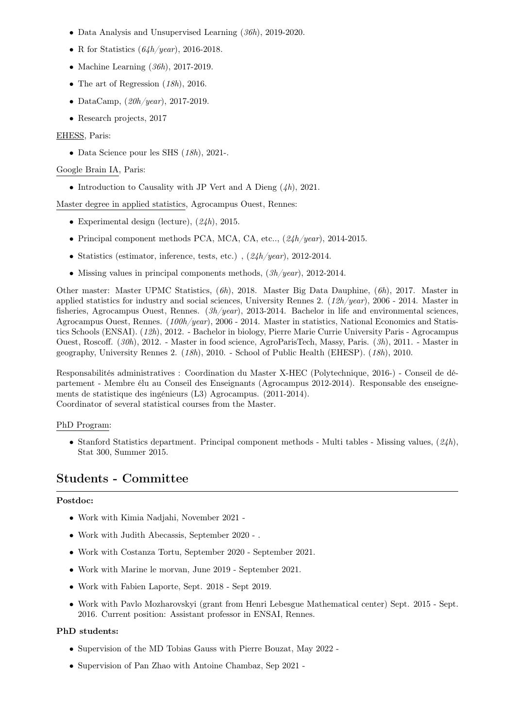- Data Analysis and Unsupervised Learning (36h), 2019-2020.
- R for Statistics  $(64h/year)$ , 2016-2018.
- Machine Learning  $(36h)$ , 2017-2019.
- The art of Regression  $(18h)$ , 2016.
- DataCamp,  $(20h/year)$ , 2017-2019.
- Research projects, 2017

#### EHESS, Paris:

• Data Science pour les SHS (18h), 2021-.

#### Google Brain IA, Paris:

• Introduction to Causality with JP Vert and A Dieng  $(\lambda h)$ , 2021.

Master degree in applied statistics, Agrocampus Ouest, Rennes:

- Experimental design (lecture),  $(24h)$ , 2015.
- Principal component methods PCA, MCA, CA, etc..,  $(24h/year)$ , 2014-2015.
- Statistics (estimator, inference, tests, etc.),  $(24h/year)$ , 2012-2014.
- Missing values in principal components methods,  $(3h/year)$ , 2012-2014.

Other master: Master UPMC Statistics, (6h), 2018. Master Big Data Dauphine, (6h), 2017. Master in applied statistics for industry and social sciences, University Rennes 2. (12h/year), 2006 - 2014. Master in fisheries, Agrocampus Ouest, Rennes.  $(\beta h/year)$ , 2013-2014. Bachelor in life and environmental sciences, Agrocampus Ouest, Rennes. ( $100h/year$ ), 2006 - 2014. Master in statistics, National Economics and Statistics Schools (ENSAI). (12h), 2012. - Bachelor in biology, Pierre Marie Currie University Paris - Agrocampus Ouest, Roscoff. (30h), 2012. - Master in food science, AgroParisTech, Massy, Paris. (3h), 2011. - Master in geography, University Rennes 2. (18h), 2010. - School of Public Health (EHESP). (18h), 2010.

Responsabilités administratives : Coordination du Master X-HEC (Polytechnique, 2016-) - Conseil de département - Membre élu au Conseil des Enseignants (Agrocampus 2012-2014). Responsable des enseignements de statistique des ingénieurs (L3) Agrocampus. (2011-2014). Coordinator of several statistical courses from the Master.

#### PhD Program:

• Stanford Statistics department. Principal component methods - Multi tables - Missing values,  $(24h)$ , Stat 300, Summer 2015.

# Students - Committee

### Postdoc:

- Work with Kimia Nadjahi, November 2021 -
- Work with Judith Abecassis, September 2020 .
- Work with Costanza Tortu, September 2020 September 2021.
- Work with Marine le morvan, June 2019 September 2021.
- Work with Fabien Laporte, Sept. 2018 Sept 2019.
- Work with Pavlo Mozharovskyi (grant from Henri Lebesgue Mathematical center) Sept. 2015 Sept. 2016. Current position: Assistant professor in ENSAI, Rennes.

### PhD students:

- Supervision of the MD Tobias Gauss with Pierre Bouzat, May 2022 -
- Supervision of Pan Zhao with Antoine Chambaz, Sep 2021 -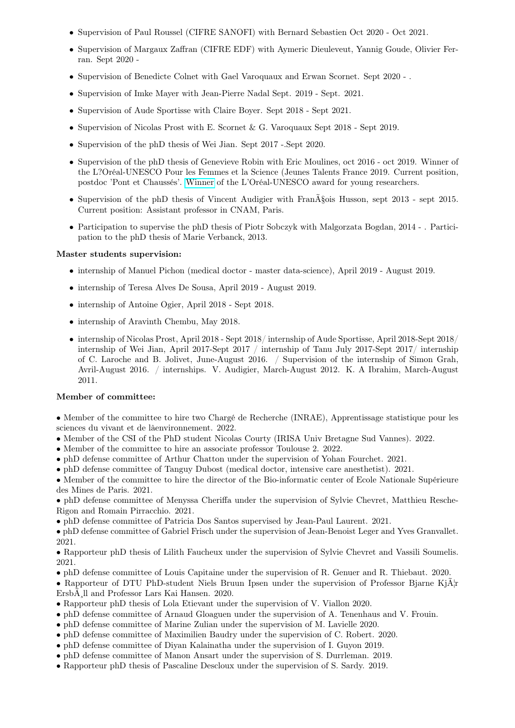- Supervision of Paul Roussel (CIFRE SANOFI) with Bernard Sebastien Oct 2020 Oct 2021.
- Supervision of Margaux Zaffran (CIFRE EDF) with Aymeric Dieuleveut, Yannig Goude, Olivier Ferran. Sept 2020 -
- Supervision of Benedicte Colnet with Gael Varoquaux and Erwan Scornet. Sept 2020 .
- Supervision of Imke Mayer with Jean-Pierre Nadal Sept. 2019 Sept. 2021.
- Supervision of Aude Sportisse with Claire Boyer. Sept 2018 Sept 2021.
- Supervision of Nicolas Prost with E. Scornet & G. Varoquaux Sept 2018 Sept 2019.
- Supervision of the phD thesis of Wei Jian. Sept 2017 -.Sept 2020.
- Supervision of the phD thesis of Genevieve Robin with Eric Moulines, oct 2016 oct 2019. Winner of the L?Oréal-UNESCO Pour les Femmes et la Science (Jeunes Talents France 2019. Current position, postdoc 'Pont et Chaussés'. [Winner](https://www.fondationloreal.com/documents/91a2f761-f72b-48a8-8c54-3bda0ddb9dcf/download?lang=fr) of the L'Oréal-UNESCO award for young researchers.
- Supervision of the phD thesis of Vincent Audigier with Fran $\tilde{A}$ §ois Husson, sept 2013 sept 2015. Current position: Assistant professor in CNAM, Paris.
- Participation to supervise the phD thesis of Piotr Sobczyk with Malgorzata Bogdan, 2014 . Participation to the phD thesis of Marie Verbanck, 2013.

### Master students supervision:

- internship of Manuel Pichon (medical doctor master data-science), April 2019 August 2019.
- internship of Teresa Alves De Sousa, April 2019 August 2019.
- internship of Antoine Ogier, April 2018 Sept 2018.
- internship of Aravinth Chembu, May 2018.
- internship of Nicolas Prost, April 2018 Sept 2018/ internship of Aude Sportisse, April 2018-Sept 2018/ internship of Wei Jian, April 2017-Sept 2017 / internship of Tanu July 2017-Sept 2017/ internship of C. Laroche and B. Jolivet, June-August 2016. / Supervision of the internship of Simon Grah, Avril-August 2016. / internships. V. Audigier, March-August 2012. K. A Ibrahim, March-August 2011.

### Member of committee:

• Member of the committee to hire two Chargé de Recherche (INRAE), Apprentissage statistique pour les sciences du vivant et de lâenvironnement. 2022.

- Member of the CSI of the PhD student Nicolas Courty (IRISA Univ Bretagne Sud Vannes). 2022.
- Member of the committee to hire an associate professor Toulouse 2. 2022.
- phD defense committee of Arthur Chatton under the supervision of Yohan Fourchet. 2021.
- phD defense committee of Tanguy Dubost (medical doctor, intensive care anesthetist). 2021.

• Member of the committee to hire the director of the Bio-informatic center of Ecole Nationale Supérieure des Mines de Paris. 2021.

• phD defense committee of Menyssa Cheriffa under the supervision of Sylvie Chevret, Matthieu Resche-Rigon and Romain Pirracchio. 2021.

• phD defense committee of Patricia Dos Santos supervised by Jean-Paul Laurent. 2021.

• phD defense committee of Gabriel Frisch under the supervision of Jean-Benoist Leger and Yves Granvallet. 2021.

• Rapporteur phD thesis of Lilith Faucheux under the supervision of Sylvie Chevret and Vassili Soumelis. 2021.

- phD defense committee of Louis Capitaine under the supervision of R. Genuer and R. Thiebaut. 2020.
- Rapporteur of DTU PhD-student Niels Bruun Ipsen under the supervision of Professor Bjarne Kj $\tilde{A}|r$ Ersb $\tilde{A}$ ll and Professor Lars Kai Hansen. 2020.
- Rapporteur phD thesis of Lola Etievant under the supervision of V. Viallon 2020.
- phD defense committee of Arnaud Gloaguen under the supervision of A. Tenenhaus and V. Frouin.
- phD defense committee of Marine Zulian under the supervision of M. Lavielle 2020.
- phD defense committee of Maximilien Baudry under the supervision of C. Robert. 2020.
- phD defense committee of Diyan Kalainatha under the supervision of I. Guyon 2019.
- phD defense committee of Manon Ansart under the supervision of S. Durrleman. 2019.
- Rapporteur phD thesis of Pascaline Descloux under the supervision of S. Sardy. 2019.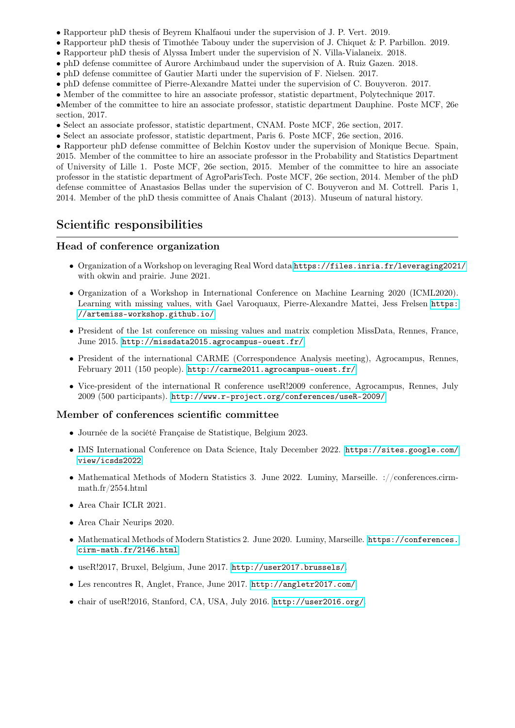- Rapporteur phD thesis of Beyrem Khalfaoui under the supervision of J. P. Vert. 2019.
- Rapporteur phD thesis of Timothée Tabouy under the supervision of J. Chiquet & P. Parbillon. 2019.
- Rapporteur phD thesis of Alyssa Imbert under the supervision of N. Villa-Vialaneix. 2018.
- phD defense committee of Aurore Archimbaud under the supervision of A. Ruiz Gazen. 2018.
- phD defense committee of Gautier Marti under the supervision of F. Nielsen. 2017.
- phD defense committee of Pierre-Alexandre Mattei under the supervision of C. Bouyveron. 2017.
- Member of the committee to hire an associate professor, statistic department, Polytechnique 2017.

•Member of the committee to hire an associate professor, statistic department Dauphine. Poste MCF, 26e section, 2017.

- Select an associate professor, statistic department, CNAM. Poste MCF, 26e section, 2017.
- Select an associate professor, statistic department, Paris 6. Poste MCF, 26e section, 2016.

• Rapporteur phD defense committee of Belchin Kostov under the supervision of Monique Becue. Spain, 2015. Member of the committee to hire an associate professor in the Probability and Statistics Department of University of Lille 1. Poste MCF, 26e section, 2015. Member of the committee to hire an associate professor in the statistic department of AgroParisTech. Poste MCF, 26e section, 2014. Member of the phD defense committee of Anastasios Bellas under the supervision of C. Bouyveron and M. Cottrell. Paris 1, 2014. Member of the phD thesis committee of Anais Chalant (2013). Museum of natural history.

## Scientific responsibilities

#### Head of conference organization

- Organization of a Workshop on leveraging Real Word data <https://files.inria.fr/leveraging2021/> with okwin and prairie. June 2021.
- Organization of a Workshop in International Conference on Machine Learning 2020 (ICML2020). Learning with missing values, with Gael Varoquaux, Pierre-Alexandre Mattei, Jess Frelsen [https:]( https://artemiss-workshop.github.io/) [//artemiss-workshop.github.io/]( https://artemiss-workshop.github.io/)
- President of the 1st conference on missing values and matrix completion MissData, Rennes, France, June 2015. <http://missdata2015.agrocampus-ouest.fr/>.
- President of the international CARME (Correspondence Analysis meeting), Agrocampus, Rennes, February 2011 (150 people). <http://carme2011.agrocampus-ouest.fr/>
- Vice-president of the international R conference useR!2009 conference, Agrocampus, Rennes, July 2009 (500 participants). <http://www.r-project.org/conferences/useR-2009/>

#### Member of conferences scientific committee

- Journée de la société Française de Statistique, Belgium 2023.
- IMS International Conference on Data Science, Italy December 2022. [https://sites.google.com/](https://sites.google.com/view/icsds2022) [view/icsds2022](https://sites.google.com/view/icsds2022)
- Mathematical Methods of Modern Statistics 3. June 2022. Luminy, Marseille. ://conferences.cirmmath.fr/2554.html
- Area Chair ICLR 2021.
- Area Chair Neurips 2020.
- Mathematical Methods of Modern Statistics 2. June 2020. Luminy, Marseille. [https://conferences.](https://conferences.cirm-math.fr/2146.html) [cirm-math.fr/2146.html](https://conferences.cirm-math.fr/2146.html)
- useR!2017, Bruxel, Belgium, June 2017. <http://user2017.brussels/>.
- Les rencontres R, Anglet, France, June 2017. <http://angletr2017.com/>.
- chair of useR!2016, Stanford, CA, USA, July 2016. <http://user2016.org/>.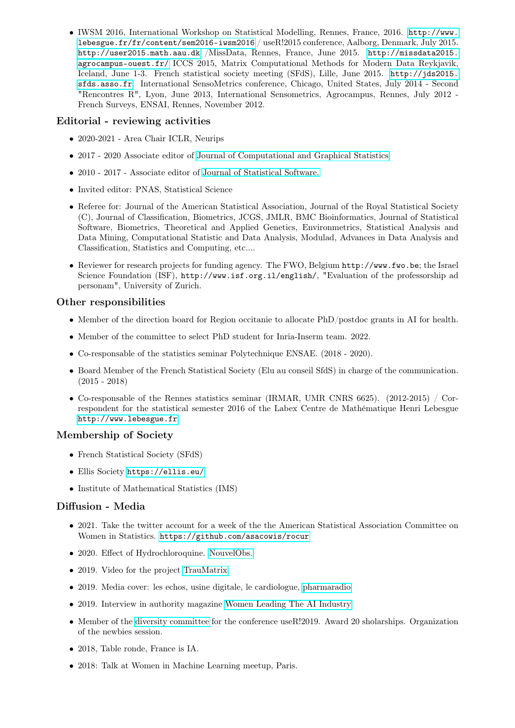• IWSM 2016, International Workshop on Statistical Modelling, Rennes, France, 2016. [http://www.](http://www.lebesgue.fr/fr/content/sem2016-iwsm2016) [lebesgue.fr/fr/content/sem2016-iwsm2016](http://www.lebesgue.fr/fr/content/sem2016-iwsm2016) / useR!2015 conference, Aalborg, Denmark, July 2015. <http://user2015.math.aau.dk> /MissData, Rennes, France, June 2015. [http://missdata2015.](http://missdata2015.agrocampus-ouest.fr/) [agrocampus-ouest.fr/](http://missdata2015.agrocampus-ouest.fr/) ICCS 2015, Matrix Computational Methods for Modern Data Reykjavik, Iceland, June 1-3. French statistical society meeting (SFdS), Lille, June 2015. [http://jds2015.](http://jds2015.sfds.asso.fr) [sfds.asso.fr](http://jds2015.sfds.asso.fr). International SensoMetrics conference, Chicago, United States, July 2014 - Second "Rencontres R", Lyon, June 2013, International Sensometrics, Agrocampus, Rennes, July 2012 - French Surveys, ENSAI, Rennes, November 2012.

### Editorial - reviewing activities

- 2020-2021 Area Chair ICLR, Neurips
- 2017 2020 Associate editor of [Journal of Computational and Graphical Statistics](http://www.tandfonline.com/toc/ucgs20/current)
- 2010 2017 Associate editor of [Journal of Statistical Software.](http://www.jstatsoft.org/)
- Invited editor: PNAS, Statistical Science
- Referee for: Journal of the American Statistical Association, Journal of the Royal Statistical Society (C), Journal of Classification, Biometrics, JCGS, JMLR, BMC Bioinformatics, Journal of Statistical Software, Biometrics, Theoretical and Applied Genetics, Environmetrics, Statistical Analysis and Data Mining, Computational Statistic and Data Analysis, Modulad, Advances in Data Analysis and Classification, Statistics and Computing, etc....
- Reviewer for research projects for funding agency. The FWO, Belgium http://www.fwo.be; the Israel Science Foundation (ISF), http://www.isf.org.il/english/, "Evaluation of the professorship ad personam", University of Zurich.

## Other responsibilities

- Member of the direction board for Region occitanie to allocate PhD/postdoc grants in AI for health.
- Member of the committee to select PhD student for Inria-Inserm team. 2022.
- Co-responsable of the statistics seminar Polytechnique ENSAE. (2018 2020).
- Board Member of the French Statistical Society (Elu au conseil SfdS) in charge of the communication. (2015 - 2018)
- Co-responsable of the Rennes statistics seminar (IRMAR, UMR CNRS 6625). (2012-2015) / Correspondent for the statistical semester 2016 of the Labex Centre de Mathématique Henri Lebesgue <http://www.lebesgue.fr>

## Membership of Society

- French Statistical Society (SFdS)
- Ellis Society <https://ellis.eu/>
- Institute of Mathematical Statistics (IMS)

### Diffusion - Media

- 2021. Take the twitter account for a week of the the American Statistical Association Committee on Women in Statistics. <https://github.com/asacowis/rocur>
- 2020. Effect of Hydrochloroquine. [NouvelObs.](https://www.nouvelobs.com/coronavirus-de-wuhan/20200622.OBS30377/l-lydroxychloroquine-a-un-effet-positif-sur-le-retour-a-domicile-pas-sur-la-mortalite-selon-une-etude.html)
- 2019. Video for the project [TrauMatrix](https://www.capgemini.com/fr-fr/news/traumatrix-lintelligence-artificielle-au-service-des-soins-aux-patients-gravement-traumatises/)
- 2019. Media cover: les echos, usine digitale, le cardiologue, [pharmaradio](https://www.pharmaradio.fr/podcast/innovation/nicolas-latour-julie-josse-3362)
- 2019. Interview in authority magazine [Women Leading The AI Industry](https://medium.com/authority-magazine/women-leading-the-ai-industry-we-should-help-sponsor-women-already-working-in-ai-so-that-they-7745366e9c80)
- Member of the [diversity committee](http://www.user2019.fr/scholarships/) for the conference useR!2019. Award 20 sholarships. Organization of the newbies session.
- 2018, Table ronde, France is IA.
- 2018: Talk at Women in Machine Learning meetup, Paris.